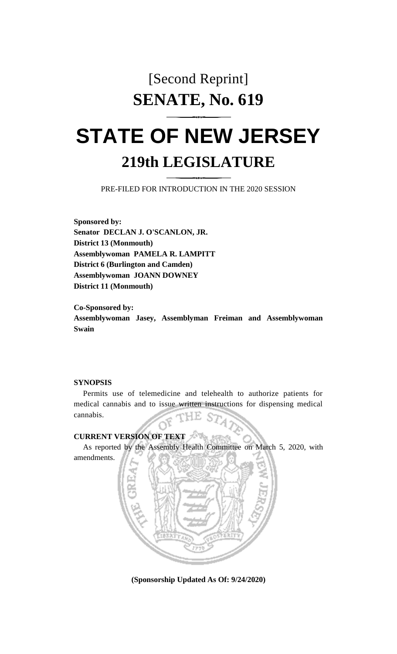## [Second Reprint] **SENATE, No. 619**

# **STATE OF NEW JERSEY 219th LEGISLATURE**

PRE-FILED FOR INTRODUCTION IN THE 2020 SESSION

**Sponsored by: Senator DECLAN J. O'SCANLON, JR. District 13 (Monmouth) Assemblywoman PAMELA R. LAMPITT District 6 (Burlington and Camden) Assemblywoman JOANN DOWNEY District 11 (Monmouth)**

**Co-Sponsored by: Assemblywoman Jasey, Assemblyman Freiman and Assemblywoman Swain**

#### **SYNOPSIS**

amendments.

Permits use of telemedicine and telehealth to authorize patients for medical cannabis and to issue written instructions for dispensing medical cannabis. F.

#### **CURRENT VERSION OF TEXT**

As reported by the Assembly Health Committee on March 5, 2020, with



**(Sponsorship Updated As Of: 9/24/2020)**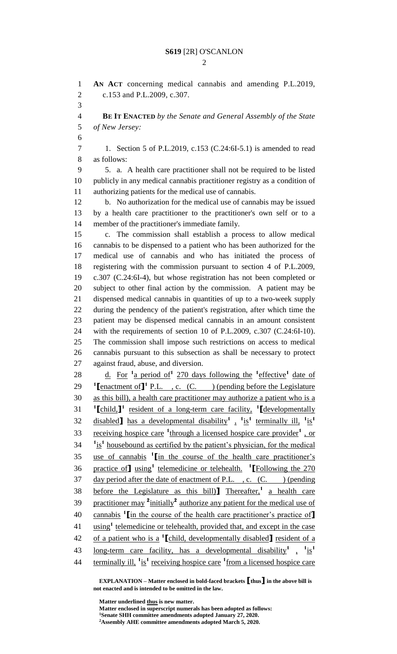$\mathcal{D}$ 

 **AN ACT** concerning medical cannabis and amending P.L.2019, c.153 and P.L.2009, c.307. **BE IT ENACTED** *by the Senate and General Assembly of the State of New Jersey:* 1. Section 5 of P.L.2019, c.153 (C.24:6I-5.1) is amended to read as follows: 5. a. A health care practitioner shall not be required to be listed publicly in any medical cannabis practitioner registry as a condition of authorizing patients for the medical use of cannabis. b. No authorization for the medical use of cannabis may be issued by a health care practitioner to the practitioner's own self or to a member of the practitioner's immediate family. c. The commission shall establish a process to allow medical cannabis to be dispensed to a patient who has been authorized for the medical use of cannabis and who has initiated the process of registering with the commission pursuant to section 4 of P.L.2009, c.307 (C.24:6I-4), but whose registration has not been completed or subject to other final action by the commission. A patient may be dispensed medical cannabis in quantities of up to a two-week supply during the pendency of the patient's registration, after which time the patient may be dispensed medical cannabis in an amount consistent with the requirements of section 10 of P.L.2009, c.307 (C.24:6I-10). The commission shall impose such restrictions on access to medical cannabis pursuant to this subsection as shall be necessary to protect against fraud, abuse, and diversion. 28 d. For <sup>1</sup> a period of <sup>1</sup> 270 days following the <sup>1</sup> effective <sup>1</sup> date of **[**enactment of **]<sup>1</sup> P.L.** , c. (C. ) (pending before the Legislature as this bill), a health care practitioner may authorize a patient who is a **[**child,**] 1** resident of a long-term care facility, **<sup>1</sup> [**developmentally disabled**]** has a developmental disability**<sup>1</sup>** , **1** is**1** terminally ill, **<sup>1</sup>** is**1** 33 receiving hospice care <sup>1</sup>through a licensed hospice care provider<sup>1</sup>, or  $11 \text{ is}^1$  housebound as certified by the patient's physician, for the medical use of cannabis **<sup>1</sup> [**in the course of the health care practitioner's practice of**]** using**<sup>1</sup>** telemedicine or telehealth. **1 [**Following the 270 37 day period after the date of enactment of P.L., c. (C. ) (pending 38 before the Legislature as this bill)<sup>T</sup> Thereafter,<sup>1</sup> a health care 39 practitioner may  $\frac{2 \text{ initially}}{2}$  authorize any patient for the medical use of cannabis **<sup>1</sup> [**in the course of the health care practitioner's practice of**]** 41 using<sup>1</sup> telemedicine or telehealth, provided that, and except in the case of a patient who is a **<sup>1</sup> [**child, developmentally disabled**]** resident of a long-term care facility, has a developmental disability<sup>1</sup>,  $\frac{1}{1}$  44 terminally ill, <sup>1</sup> is<sup>1</sup> receiving hospice care <sup>1</sup> from a licensed hospice care

**EXPLANATION – Matter enclosed in bold-faced brackets [thus] in the above bill is not enacted and is intended to be omitted in the law.**

**Matter underlined thus is new matter.**

**Matter enclosed in superscript numerals has been adopted as follows:**

**Senate SHH committee amendments adopted January 27, 2020.**

**Assembly AHE committee amendments adopted March 5, 2020.**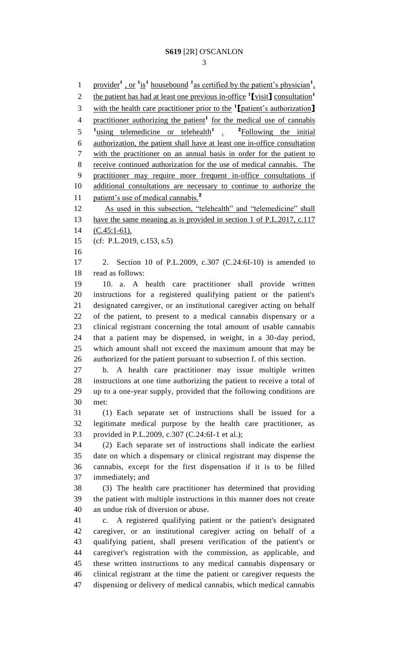1 provider<sup>1</sup>, or <sup>1</sup>is<sup>1</sup> housebound <sup>1</sup> as certified by the patient's physician<sup>1</sup>, the patient has had at least one previous in-office **<sup>1</sup> [**visit**]** consultation**<sup>1</sup>** with the health care practitioner prior to the **<sup>1</sup> [**patient's authorization**]** 4 practitioner authorizing the patient<sup>1</sup> for the medical use of cannabis 5 <sup>1</sup> using telemedicine or telehealth<sup>1</sup> a <sup>2</sup> Following the initial <sup>2</sup>Following the initial authorization, the patient shall have at least one in-office consultation with the practitioner on an annual basis in order for the patient to receive continued authorization for the use of medical cannabis. The practitioner may require more frequent in-office consultations if additional consultations are necessary to continue to authorize the patient's use of medical cannabis.**<sup>2</sup>** 12 As used in this subsection, "telehealth" and "telemedicine" shall 13 have the same meaning as is provided in section 1 of P.L.2017, c.117 (C.45:1-61). (cf: P.L.2019, c.153, s.5) 2. Section 10 of P.L.2009, c.307 (C.24:6I-10) is amended to read as follows: 10. a. A health care practitioner shall provide written instructions for a registered qualifying patient or the patient's designated caregiver, or an institutional caregiver acting on behalf of the patient, to present to a medical cannabis dispensary or a clinical registrant concerning the total amount of usable cannabis that a patient may be dispensed, in weight, in a 30-day period, which amount shall not exceed the maximum amount that may be authorized for the patient pursuant to subsection f. of this section. b. A health care practitioner may issue multiple written instructions at one time authorizing the patient to receive a total of up to a one-year supply, provided that the following conditions are met: (1) Each separate set of instructions shall be issued for a legitimate medical purpose by the health care practitioner, as provided in P.L.2009, c.307 (C.24:6I-1 et al.); (2) Each separate set of instructions shall indicate the earliest date on which a dispensary or clinical registrant may dispense the cannabis, except for the first dispensation if it is to be filled immediately; and (3) The health care practitioner has determined that providing the patient with multiple instructions in this manner does not create an undue risk of diversion or abuse. c. A registered qualifying patient or the patient's designated caregiver, or an institutional caregiver acting on behalf of a qualifying patient, shall present verification of the patient's or caregiver's registration with the commission, as applicable, and these written instructions to any medical cannabis dispensary or clinical registrant at the time the patient or caregiver requests the dispensing or delivery of medical cannabis, which medical cannabis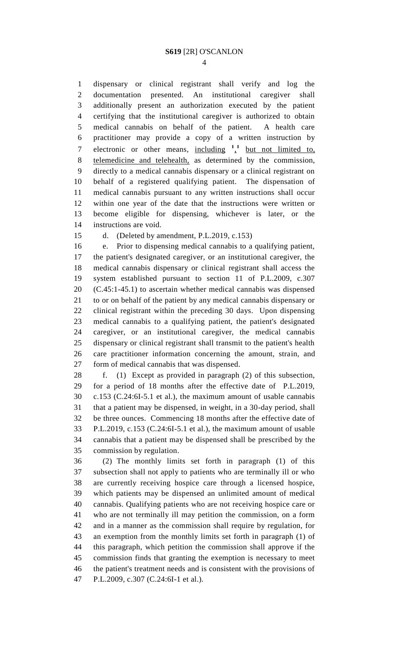dispensary or clinical registrant shall verify and log the documentation presented. An institutional caregiver shall additionally present an authorization executed by the patient certifying that the institutional caregiver is authorized to obtain medical cannabis on behalf of the patient. A health care practitioner may provide a copy of a written instruction by 7 electronic or other means, including <sup>1</sup>,<sup>1</sup> but not limited to, telemedicine and telehealth, as determined by the commission, directly to a medical cannabis dispensary or a clinical registrant on behalf of a registered qualifying patient. The dispensation of medical cannabis pursuant to any written instructions shall occur within one year of the date that the instructions were written or become eligible for dispensing, whichever is later, or the instructions are void.

d. (Deleted by amendment, P.L.2019, c.153)

 e. Prior to dispensing medical cannabis to a qualifying patient, the patient's designated caregiver, or an institutional caregiver, the medical cannabis dispensary or clinical registrant shall access the system established pursuant to section 11 of P.L.2009, c.307 (C.45:1-45.1) to ascertain whether medical cannabis was dispensed to or on behalf of the patient by any medical cannabis dispensary or clinical registrant within the preceding 30 days. Upon dispensing medical cannabis to a qualifying patient, the patient's designated caregiver, or an institutional caregiver, the medical cannabis dispensary or clinical registrant shall transmit to the patient's health care practitioner information concerning the amount, strain, and form of medical cannabis that was dispensed.

 f. (1) Except as provided in paragraph (2) of this subsection, for a period of 18 months after the effective date of P.L.2019, c.153 (C.24:6I-5.1 et al.), the maximum amount of usable cannabis that a patient may be dispensed, in weight, in a 30-day period, shall be three ounces. Commencing 18 months after the effective date of P.L.2019, c.153 (C.24:6I-5.1 et al.), the maximum amount of usable cannabis that a patient may be dispensed shall be prescribed by the commission by regulation.

 (2) The monthly limits set forth in paragraph (1) of this subsection shall not apply to patients who are terminally ill or who are currently receiving hospice care through a licensed hospice, which patients may be dispensed an unlimited amount of medical cannabis. Qualifying patients who are not receiving hospice care or who are not terminally ill may petition the commission, on a form and in a manner as the commission shall require by regulation, for an exemption from the monthly limits set forth in paragraph (1) of this paragraph, which petition the commission shall approve if the commission finds that granting the exemption is necessary to meet the patient's treatment needs and is consistent with the provisions of P.L.2009, c.307 (C.24:6I-1 et al.).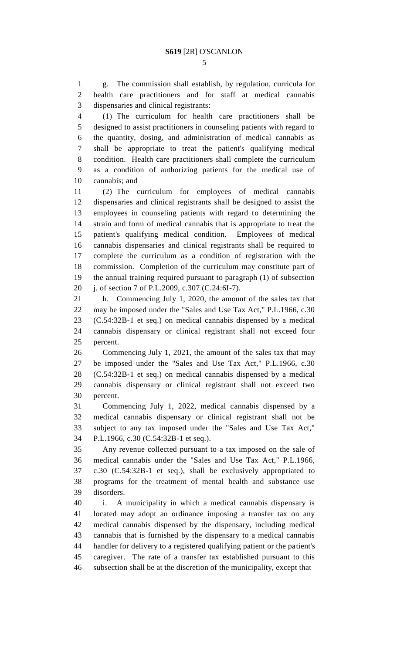g. The commission shall establish, by regulation, curricula for health care practitioners and for staff at medical cannabis dispensaries and clinical registrants:

 (1) The curriculum for health care practitioners shall be designed to assist practitioners in counseling patients with regard to the quantity, dosing, and administration of medical cannabis as shall be appropriate to treat the patient's qualifying medical condition. Health care practitioners shall complete the curriculum as a condition of authorizing patients for the medical use of cannabis; and

 (2) The curriculum for employees of medical cannabis dispensaries and clinical registrants shall be designed to assist the employees in counseling patients with regard to determining the strain and form of medical cannabis that is appropriate to treat the patient's qualifying medical condition. Employees of medical cannabis dispensaries and clinical registrants shall be required to complete the curriculum as a condition of registration with the commission. Completion of the curriculum may constitute part of the annual training required pursuant to paragraph (1) of subsection j. of section 7 of P.L.2009, c.307 (C.24:6I-7).

 h. Commencing July 1, 2020, the amount of the sales tax that may be imposed under the "Sales and Use Tax Act," P.L.1966, c.30 (C.54:32B-1 et seq.) on medical cannabis dispensed by a medical cannabis dispensary or clinical registrant shall not exceed four percent.

 Commencing July 1, 2021, the amount of the sales tax that may be imposed under the "Sales and Use Tax Act," P.L.1966, c.30 (C.54:32B-1 et seq.) on medical cannabis dispensed by a medical cannabis dispensary or clinical registrant shall not exceed two percent.

 Commencing July 1, 2022, medical cannabis dispensed by a medical cannabis dispensary or clinical registrant shall not be subject to any tax imposed under the "Sales and Use Tax Act," P.L.1966, c.30 (C.54:32B-1 et seq.).

 Any revenue collected pursuant to a tax imposed on the sale of medical cannabis under the "Sales and Use Tax Act," P.L.1966, c.30 (C.54:32B-1 et seq.), shall be exclusively appropriated to programs for the treatment of mental health and substance use disorders.

 i. A municipality in which a medical cannabis dispensary is located may adopt an ordinance imposing a transfer tax on any medical cannabis dispensed by the dispensary, including medical cannabis that is furnished by the dispensary to a medical cannabis handler for delivery to a registered qualifying patient or the patient's caregiver. The rate of a transfer tax established pursuant to this subsection shall be at the discretion of the municipality, except that